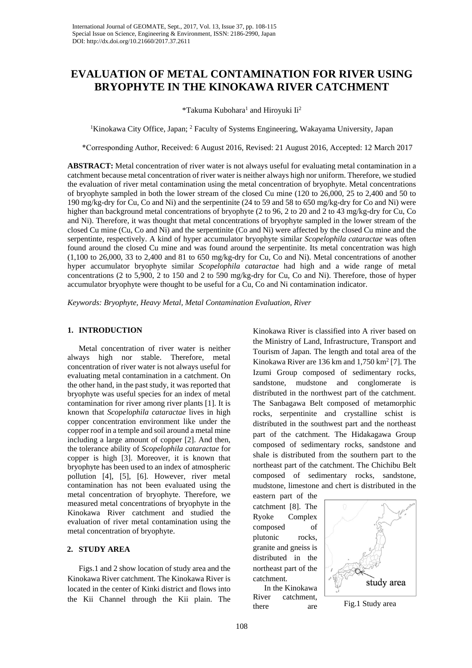# **EVALUATION OF METAL CONTAMINATION FOR RIVER USING BRYOPHYTE IN THE KINOKAWA RIVER CATCHMENT**

\*Takuma Kubohara<sup>1</sup> and Hiroyuki Ii<sup>2</sup>

<sup>1</sup>Kinokawa City Office, Japan; <sup>2</sup> Faculty of Systems Engineering, Wakayama University, Japan

\*Corresponding Author, Received: 6 August 2016, Revised: 21 August 2016, Accepted: 12 March 2017

**ABSTRACT:** Metal concentration of river water is not always useful for evaluating metal contamination in a catchment because metal concentration of river water is neither always high nor uniform. Therefore, we studied the evaluation of river metal contamination using the metal concentration of bryophyte. Metal concentrations of bryophyte sampled in both the lower stream of the closed Cu mine (120 to 26,000, 25 to 2,400 and 50 to 190 mg/kg-dry for Cu, Co and Ni) and the serpentinite (24 to 59 and 58 to 650 mg/kg-dry for Co and Ni) were higher than background metal concentrations of bryophyte (2 to 96, 2 to 20 and 2 to 43 mg/kg-dry for Cu, Co and Ni). Therefore, it was thought that metal concentrations of bryophyte sampled in the lower stream of the closed Cu mine (Cu, Co and Ni) and the serpentinite (Co and Ni) were affected by the closed Cu mine and the serpentinte, respectively. A kind of hyper accumulator bryophyte similar *Scopelophila cataractae* was often found around the closed Cu mine and was found around the serpentinite. Its metal concentration was high (1,100 to 26,000, 33 to 2,400 and 81 to 650 mg/kg-dry for Cu, Co and Ni). Metal concentrations of another hyper accumulator bryophyte similar *Scopelophila cataractae* had high and a wide range of metal concentrations (2 to 5,900, 2 to 150 and 2 to 590 mg/kg-dry for Cu, Co and Ni). Therefore, those of hyper accumulator bryophyte were thought to be useful for a Cu, Co and Ni contamination indicator.

*Keywords: Bryophyte, Heavy Metal, Metal Contamination Evaluation, River* 

## **1. INTRODUCTION**

Metal concentration of river water is neither always high nor stable. Therefore, metal concentration of river water is not always useful for evaluating metal contamination in a catchment. On the other hand, in the past study, it was reported that bryophyte was useful species for an index of metal contamination for river among river plants [1]. It is known that *Scopelophila cataractae* lives in high copper concentration environment like under the copper roof in a temple and soil around a metal mine including a large amount of copper [2]. And then, the tolerance ability of *Scopelophila cataractae* for copper is high [3]. Moreover, it is known that bryophyte has been used to an index of atmospheric pollution [4], [5], [6]. However, river metal contamination has not been evaluated using the metal concentration of bryophyte. Therefore, we measured metal concentrations of bryophyte in the Kinokawa River catchment and studied the evaluation of river metal contamination using the metal concentration of bryophyte.

## **2. STUDY AREA**

Figs.1 and 2 show location of study area and the Kinokawa River catchment. The Kinokawa River is located in the center of Kinki district and flows into the Kii Channel through the Kii plain. The

Kinokawa River is classified into A river based on the Ministry of Land, Infrastructure, Transport and Tourism of Japan. The length and total area of the Kinokawa River are 136 km and 1,750 km<sup>2</sup> [7]. The Izumi Group composed of sedimentary rocks, sandstone, mudstone and conglomerate is distributed in the northwest part of the catchment. The Sanbagawa Belt composed of metamorphic rocks, serpentinite and crystalline schist is distributed in the southwest part and the northeast part of the catchment. The Hidakagawa Group composed of sedimentary rocks, sandstone and shale is distributed from the southern part to the northeast part of the catchment. The Chichibu Belt composed of sedimentary rocks, sandstone, mudstone, limestone and chert is distributed in the

eastern part of the catchment [8]. The Ryoke Complex composed of plutonic rocks, granite and gneiss is distributed in the northeast part of the catchment.

In the Kinokawa River catchment, there are Fig.1 Study area

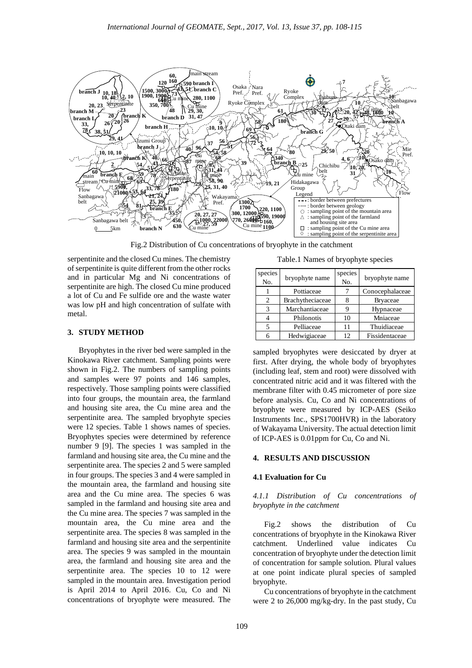

Fig.2 Distribution of Cu concentrations of bryophyte in the catchment

serpentinite and the closed Cu mines. The chemistry of serpentinite is quite different from the other rocks and in particular Mg and Ni concentrations of serpentinite are high. The closed Cu mine produced a lot of Cu and Fe sulfide ore and the waste water was low pH and high concentration of sulfate with metal.

#### **3. STUDY METHOD**

Bryophytes in the river bed were sampled in the Kinokawa River catchment. Sampling points were shown in Fig.2. The numbers of sampling points and samples were 97 points and 146 samples, respectively. Those sampling points were classified into four groups, the mountain area, the farmland and housing site area, the Cu mine area and the serpentinite area. The sampled bryophyte species were 12 species. Table 1 shows names of species. Bryophytes species were determined by reference number 9 [9]. The species 1 was sampled in the farmland and housing site area, the Cu mine and the serpentinite area. The species 2 and 5 were sampled in four groups. The species 3 and 4 were sampled in the mountain area, the farmland and housing site area and the Cu mine area. The species 6 was sampled in the farmland and housing site area and the Cu mine area. The species 7 was sampled in the mountain area, the Cu mine area and the serpentinite area. The species 8 was sampled in the farmland and housing site area and the serpentinite area. The species 9 was sampled in the mountain area, the farmland and housing site area and the serpentinite area. The species 10 to 12 were sampled in the mountain area. Investigation period is April 2014 to April 2016. Cu, Co and Ni concentrations of bryophyte were measured. The

Table.1 Names of bryophyte species

| species<br>No.                | bryophyte name   | species<br>No. | bryophyte name  |
|-------------------------------|------------------|----------------|-----------------|
|                               | Pottiaceae       |                | Conocephalaceae |
| $\mathfrak{D}_{\mathfrak{p}}$ | Brachytheciaceae |                | <b>Bryaceae</b> |
| 3                             | Marchantiaceae   | g              | Hypnaceae       |
|                               | Philonotis       | 10             | Mniaceae        |
|                               | Pelliaceae       | 11             | Thuidiaceae     |
|                               | Hedwigiaceae     | 12             | Fissidentaceae  |

sampled bryophytes were desiccated by dryer at first. After drying, the whole body of bryophytes (including leaf, stem and root) were dissolved with concentrated nitric acid and it was filtered with the membrane filter with 0.45 micrometer of pore size before analysis. Cu, Co and Ni concentrations of bryophyte were measured by ICP-AES (Seiko Instruments Inc., SPS1700HVR) in the laboratory of Wakayama University. The actual detection limit of ICP-AES is 0.01ppm for Cu, Co and Ni.

#### **4. RESULTS AND DISCUSSION**

#### **4.1 Evaluation for Cu**

## *4.1.1 Distribution of Cu concentrations of bryophyte in the catchment*

Fig.2 shows the distribution of Cu concentrations of bryophyte in the Kinokawa River catchment. Underlined value indicates Cu concentration of bryophyte under the detection limit of concentration for sample solution. Plural values at one point indicate plural species of sampled bryophyte.

Cu concentrations of bryophyte in the catchment were 2 to 26,000 mg/kg-dry. In the past study, Cu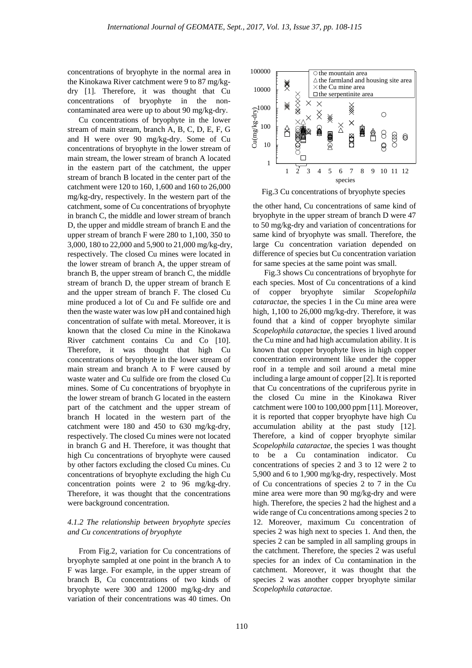concentrations of bryophyte in the normal area in the Kinokawa River catchment were 9 to 87 mg/kgdry [1]. Therefore, it was thought that Cu concentrations of bryophyte in the noncontaminated area were up to about 90 mg/kg-dry.

Cu concentrations of bryophyte in the lower stream of main stream, branch A, B, C, D, E, F, G and H were over 90 mg/kg-dry. Some of Cu concentrations of bryophyte in the lower stream of main stream, the lower stream of branch A located in the eastern part of the catchment, the upper stream of branch B located in the center part of the catchment were 120 to 160, 1,600 and 160 to 26,000 mg/kg-dry, respectively. In the western part of the catchment, some of Cu concentrations of bryophyte in branch C, the middle and lower stream of branch D, the upper and middle stream of branch E and the upper stream of branch F were 280 to 1,100, 350 to 3,000, 180 to 22,000 and 5,900 to 21,000 mg/kg-dry, respectively. The closed Cu mines were located in the lower stream of branch A, the upper stream of branch B, the upper stream of branch C, the middle stream of branch D, the upper stream of branch E and the upper stream of branch F. The closed Cu mine produced a lot of Cu and Fe sulfide ore and then the waste water was low pH and contained high concentration of sulfate with metal. Moreover, it is known that the closed Cu mine in the Kinokawa River catchment contains Cu and Co [10]. Therefore, it was thought that high Cu concentrations of bryophyte in the lower stream of main stream and branch A to F were caused by waste water and Cu sulfide ore from the closed Cu mines. Some of Cu concentrations of bryophyte in the lower stream of branch G located in the eastern part of the catchment and the upper stream of branch H located in the western part of the catchment were 180 and 450 to 630 mg/kg-dry, respectively. The closed Cu mines were not located in branch G and H. Therefore, it was thought that high Cu concentrations of bryophyte were caused by other factors excluding the closed Cu mines. Cu concentrations of bryophyte excluding the high Cu concentration points were 2 to 96 mg/kg-dry. Therefore, it was thought that the concentrations were background concentration.

### *4.1.2 The relationship between bryophyte species and Cu concentrations of bryophyte*

From Fig.2, variation for Cu concentrations of bryophyte sampled at one point in the branch A to F was large. For example, in the upper stream of branch B, Cu concentrations of two kinds of bryophyte were 300 and 12000 mg/kg-dry and variation of their concentrations was 40 times. On





the other hand, Cu concentrations of same kind of bryophyte in the upper stream of branch D were 47 to 50 mg/kg-dry and variation of concentrations for same kind of bryophyte was small. Therefore, the large Cu concentration variation depended on difference of species but Cu concentration variation for same species at the same point was small.

Fig.3 shows Cu concentrations of bryophyte for each species. Most of Cu concentrations of a kind of copper bryophyte similar *Scopelophila cataractae*, the species 1 in the Cu mine area were high, 1,100 to 26,000 mg/kg-dry. Therefore, it was found that a kind of copper bryophyte similar *Scopelophila cataractae*, the species 1 lived around the Cu mine and had high accumulation ability. It is known that copper bryophyte lives in high copper concentration environment like under the copper roof in a temple and soil around a metal mine including a large amount of copper [2]. It is reported that Cu concentrations of the cupriferous pyrite in the closed Cu mine in the Kinokawa River catchment were 100 to 100,000 ppm [11]. Moreover, it is reported that copper bryophyte have high Cu accumulation ability at the past study [12]. Therefore, a kind of copper bryophyte similar *Scopelophila cataractae*, the species 1 was thought to be a Cu contamination indicator. Cu concentrations of species 2 and 3 to 12 were 2 to 5,900 and 6 to 1,900 mg/kg-dry, respectively. Most of Cu concentrations of species 2 to 7 in the Cu mine area were more than 90 mg/kg-dry and were high. Therefore, the species 2 had the highest and a wide range of Cu concentrations among species 2 to 12. Moreover, maximum Cu concentration of species 2 was high next to species 1. And then, the species 2 can be sampled in all sampling groups in the catchment. Therefore, the species 2 was useful species for an index of Cu contamination in the catchment. Moreover, it was thought that the species 2 was another copper bryophyte similar *Scopelophila cataractae*.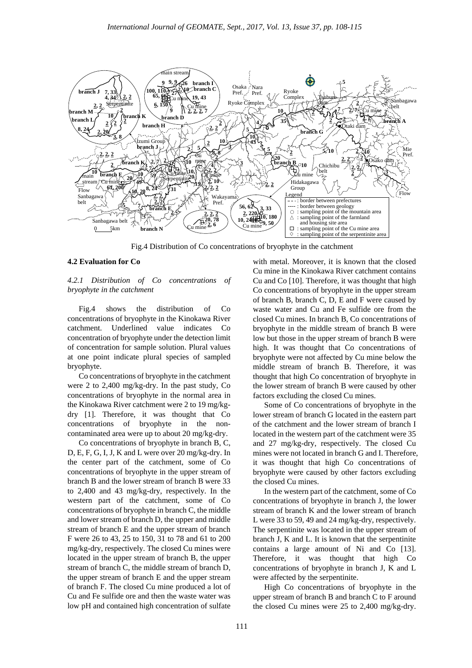

Fig.4 Distribution of Co concentrations of bryophyte in the catchment

#### **4.2 Evaluation for Co**

## *4.2.1 Distribution of Co concentrations of bryophyte in the catchment*

Fig.4 shows the distribution of Co concentrations of bryophyte in the Kinokawa River catchment. Underlined value indicates Co concentration of bryophyte under the detection limit of concentration for sample solution. Plural values at one point indicate plural species of sampled bryophyte.

Co concentrations of bryophyte in the catchment were 2 to 2,400 mg/kg-dry. In the past study, Co concentrations of bryophyte in the normal area in the Kinokawa River catchment were 2 to 19 mg/kgdry [1]. Therefore, it was thought that Co concentrations of bryophyte in the noncontaminated area were up to about 20 mg/kg-dry.

Co concentrations of bryophyte in branch B, C, D, E, F, G, I, J, K and L were over 20 mg/kg-dry. In the center part of the catchment, some of Co concentrations of bryophyte in the upper stream of branch B and the lower stream of branch B were 33 to 2,400 and 43 mg/kg-dry, respectively. In the western part of the catchment, some of Co concentrations of bryophyte in branch C, the middle and lower stream of branch D, the upper and middle stream of branch E and the upper stream of branch F were 26 to 43, 25 to 150, 31 to 78 and 61 to 200 mg/kg-dry, respectively. The closed Cu mines were located in the upper stream of branch B, the upper stream of branch C, the middle stream of branch D, the upper stream of branch E and the upper stream of branch F. The closed Cu mine produced a lot of Cu and Fe sulfide ore and then the waste water was low pH and contained high concentration of sulfate

with metal. Moreover, it is known that the closed Cu mine in the Kinokawa River catchment contains Cu and Co [10]. Therefore, it was thought that high Co concentrations of bryophyte in the upper stream of branch B, branch C, D, E and F were caused by waste water and Cu and Fe sulfide ore from the closed Cu mines. In branch B, Co concentrations of bryophyte in the middle stream of branch B were low but those in the upper stream of branch B were high. It was thought that Co concentrations of bryophyte were not affected by Cu mine below the middle stream of branch B. Therefore, it was thought that high Co concentration of bryophyte in the lower stream of branch B were caused by other factors excluding the closed Cu mines.

Some of Co concentrations of bryophyte in the lower stream of branch G located in the eastern part of the catchment and the lower stream of branch I located in the western part of the catchment were 35 and 27 mg/kg-dry, respectively. The closed Cu mines were not located in branch G and I. Therefore, it was thought that high Co concentrations of bryophyte were caused by other factors excluding the closed Cu mines.

In the western part of the catchment, some of Co concentrations of bryophyte in branch J, the lower stream of branch K and the lower stream of branch L were 33 to 59, 49 and 24 mg/kg-dry, respectively. The serpentinite was located in the upper stream of branch J, K and L. It is known that the serpentinite contains a large amount of Ni and Co [13]. Therefore, it was thought that high Co concentrations of bryophyte in branch J, K and L were affected by the serpentinite.

High Co concentrations of bryophyte in the upper stream of branch B and branch C to F around the closed Cu mines were 25 to 2,400 mg/kg-dry.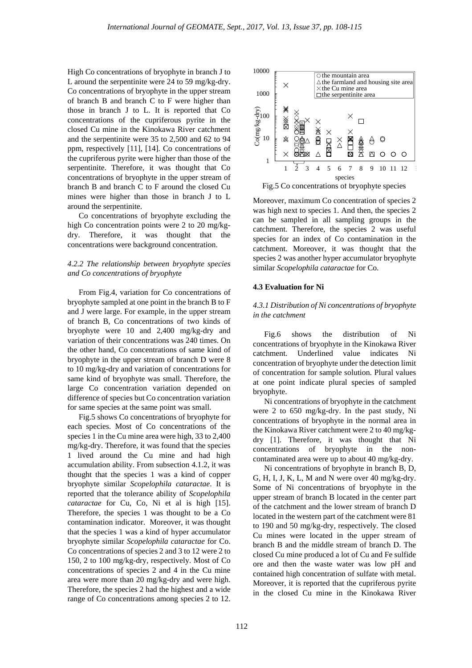High Co concentrations of bryophyte in branch J to L around the serpentinite were 24 to 59 mg/kg-dry. Co concentrations of bryophyte in the upper stream of branch B and branch C to F were higher than those in branch J to L. It is reported that Co concentrations of the cupriferous pyrite in the closed Cu mine in the Kinokawa River catchment and the serpentinite were 35 to 2,500 and 62 to 94 ppm, respectively [11], [14]. Co concentrations of the cupriferous pyrite were higher than those of the serpentinite. Therefore, it was thought that Co concentrations of bryophyte in the upper stream of branch B and branch C to F around the closed Cu mines were higher than those in branch J to L around the serpentinite.

Co concentrations of bryophyte excluding the high Co concentration points were 2 to 20 mg/kgdry. Therefore, it was thought that the concentrations were background concentration.

## *4.2.2 The relationship between bryophyte species and Co concentrations of bryophyte*

From Fig.4, variation for Co concentrations of bryophyte sampled at one point in the branch B to F and J were large. For example, in the upper stream of branch B, Co concentrations of two kinds of bryophyte were 10 and 2,400 mg/kg-dry and variation of their concentrations was 240 times. On the other hand, Co concentrations of same kind of bryophyte in the upper stream of branch D were 8 to 10 mg/kg-dry and variation of concentrations for same kind of bryophyte was small. Therefore, the large Co concentration variation depended on difference of species but Co concentration variation for same species at the same point was small.

Fig.5 shows Co concentrations of bryophyte for each species. Most of Co concentrations of the species 1 in the Cu mine area were high, 33 to 2,400 mg/kg-dry. Therefore, it was found that the species 1 lived around the Cu mine and had high accumulation ability. From subsection 4.1.2, it was thought that the species 1 was a kind of copper bryophyte similar *Scopelophila cataractae*. It is reported that the tolerance ability of *Scopelophila cataractae* for Cu, Co, Ni et al is high [15]. Therefore, the species 1 was thought to be a Co contamination indicator. Moreover, it was thought that the species 1 was a kind of hyper accumulator bryophyte similar *Scopelophila cataractae* for Co. Co concentrations of species 2 and 3 to 12 were 2 to 150, 2 to 100 mg/kg-dry, respectively. Most of Co concentrations of species 2 and 4 in the Cu mine area were more than 20 mg/kg-dry and were high. Therefore, the species 2 had the highest and a wide range of Co concentrations among species 2 to 12.



Fig.5 Co concentrations of bryophyte species

Moreover, maximum Co concentration of species 2 was high next to species 1. And then, the species 2 can be sampled in all sampling groups in the catchment. Therefore, the species 2 was useful species for an index of Co contamination in the catchment. Moreover, it was thought that the species 2 was another hyper accumulator bryophyte similar *Scopelophila cataractae* for Co.

#### **4.3 Evaluation for Ni**

# *4.3.1 Distribution of Ni concentrations of bryophyte in the catchment*

Fig.6 shows the distribution of Ni concentrations of bryophyte in the Kinokawa River catchment. Underlined value indicates Ni concentration of bryophyte under the detection limit of concentration for sample solution. Plural values at one point indicate plural species of sampled bryophyte.

Ni concentrations of bryophyte in the catchment were 2 to 650 mg/kg-dry. In the past study, Ni concentrations of bryophyte in the normal area in the Kinokawa River catchment were 2 to 40 mg/kgdry [1]. Therefore, it was thought that Ni concentrations of bryophyte in the noncontaminated area were up to about 40 mg/kg-dry.

Ni concentrations of bryophyte in branch B, D, G, H, I, J, K, L, M and N were over 40 mg/kg-dry. Some of Ni concentrations of bryophyte in the upper stream of branch B located in the center part of the catchment and the lower stream of branch D located in the western part of the catchment were 81 to 190 and 50 mg/kg-dry, respectively. The closed Cu mines were located in the upper stream of branch B and the middle stream of branch D. The closed Cu mine produced a lot of Cu and Fe sulfide ore and then the waste water was low pH and contained high concentration of sulfate with metal. Moreover, it is reported that the cupriferous pyrite in the closed Cu mine in the Kinokawa River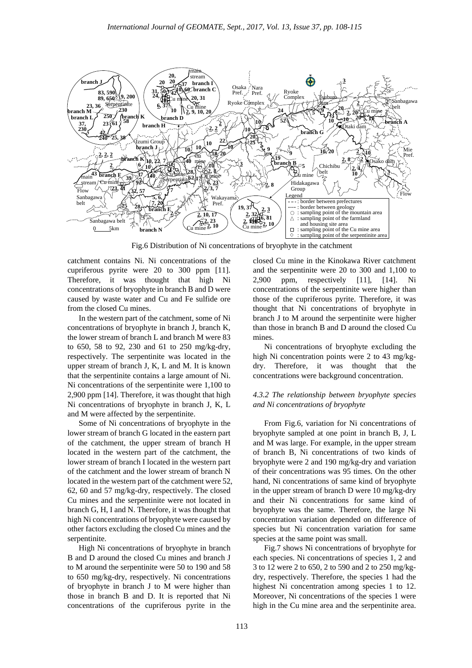

Fig.6 Distribution of Ni concentrations of bryophyte in the catchment

catchment contains Ni. Ni concentrations of the cupriferous pyrite were 20 to 300 ppm [11]. Therefore, it was thought that high Ni concentrations of bryophyte in branch B and D were caused by waste water and Cu and Fe sulfide ore from the closed Cu mines.

In the western part of the catchment, some of Ni concentrations of bryophyte in branch J, branch K, the lower stream of branch L and branch M were 83 to 650, 58 to 92, 230 and 61 to 250 mg/kg-dry, respectively. The serpentinite was located in the upper stream of branch J, K, L and M. It is known that the serpentinite contains a large amount of Ni. Ni concentrations of the serpentinite were 1,100 to 2,900 ppm [14]. Therefore, it was thought that high Ni concentrations of bryophyte in branch J, K, L and M were affected by the serpentinite.

Some of Ni concentrations of bryophyte in the lower stream of branch G located in the eastern part of the catchment, the upper stream of branch H located in the western part of the catchment, the lower stream of branch I located in the western part of the catchment and the lower stream of branch N located in the western part of the catchment were 52, 62, 60 and 57 mg/kg-dry, respectively. The closed Cu mines and the serpentinite were not located in branch G, H, I and N. Therefore, it was thought that high Ni concentrations of bryophyte were caused by other factors excluding the closed Cu mines and the serpentinite.

High Ni concentrations of bryophyte in branch B and D around the closed Cu mines and branch J to M around the serpentinite were 50 to 190 and 58 to 650 mg/kg-dry, respectively. Ni concentrations of bryophyte in branch J to M were higher than those in branch B and D. It is reported that Ni concentrations of the cupriferous pyrite in the

closed Cu mine in the Kinokawa River catchment and the serpentinite were 20 to 300 and 1,100 to 2,900 ppm, respectively [11], [14]. Ni concentrations of the serpentinite were higher than those of the cupriferous pyrite. Therefore, it was thought that Ni concentrations of bryophyte in branch J to M around the serpentinite were higher than those in branch B and D around the closed Cu mines.

Ni concentrations of bryophyte excluding the high Ni concentration points were 2 to 43 mg/kgdry. Therefore, it was thought that the concentrations were background concentration.

# *4.3.2 The relationship between bryophyte species and Ni concentrations of bryophyte*

From Fig.6, variation for Ni concentrations of bryophyte sampled at one point in branch B, J, L and M was large. For example, in the upper stream of branch B, Ni concentrations of two kinds of bryophyte were 2 and 190 mg/kg-dry and variation of their concentrations was 95 times. On the other hand, Ni concentrations of same kind of bryophyte in the upper stream of branch D were 10 mg/kg-dry and their Ni concentrations for same kind of bryophyte was the same. Therefore, the large Ni concentration variation depended on difference of species but Ni concentration variation for same species at the same point was small.

Fig.7 shows Ni concentrations of bryophyte for each species. Ni concentrations of species 1, 2 and 3 to 12 were 2 to 650, 2 to 590 and 2 to 250 mg/kgdry, respectively. Therefore, the species 1 had the highest Ni concentration among species 1 to 12. Moreover, Ni concentrations of the species 1 were high in the Cu mine area and the serpentinite area.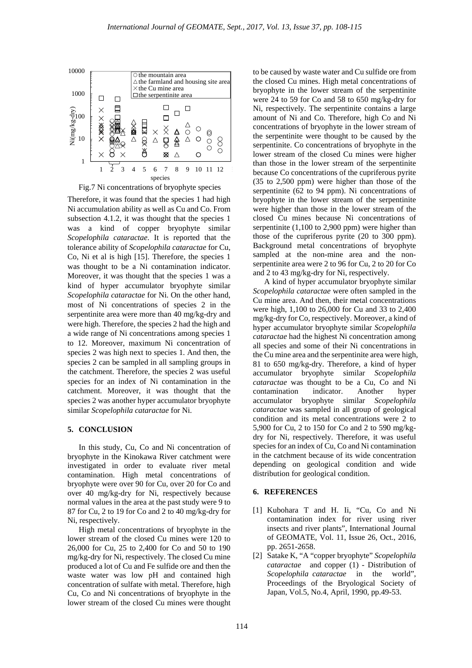

Fig.7 Ni concentrations of bryophyte species

Therefore, it was found that the species 1 had high Ni accumulation ability as well as Cu and Co. From subsection 4.1.2, it was thought that the species 1 was a kind of copper bryophyte similar *Scopelophila cataractae*. It is reported that the tolerance ability of *Scopelophila cataractae* for Cu, Co, Ni et al is high [15]. Therefore, the species 1 was thought to be a Ni contamination indicator. Moreover, it was thought that the species 1 was a kind of hyper accumulator bryophyte similar *Scopelophila cataractae* for Ni. On the other hand, most of Ni concentrations of species 2 in the serpentinite area were more than 40 mg/kg-dry and were high. Therefore, the species 2 had the high and a wide range of Ni concentrations among species 1 to 12. Moreover, maximum Ni concentration of species 2 was high next to species 1. And then, the species 2 can be sampled in all sampling groups in the catchment. Therefore, the species 2 was useful species for an index of Ni contamination in the catchment. Moreover, it was thought that the species 2 was another hyper accumulator bryophyte similar *Scopelophila cataractae* for Ni.

#### **5. CONCLUSION**

In this study, Cu, Co and Ni concentration of bryophyte in the Kinokawa River catchment were investigated in order to evaluate river metal contamination. High metal concentrations of bryophyte were over 90 for Cu, over 20 for Co and over 40 mg/kg-dry for Ni, respectively because normal values in the area at the past study were 9 to 87 for Cu, 2 to 19 for Co and 2 to 40 mg/kg-dry for Ni, respectively.

High metal concentrations of bryophyte in the lower stream of the closed Cu mines were 120 to 26,000 for Cu, 25 to 2,400 for Co and 50 to 190 mg/kg-dry for Ni, respectively. The closed Cu mine produced a lot of Cu and Fe sulfide ore and then the waste water was low pH and contained high concentration of sulfate with metal. Therefore, high Cu, Co and Ni concentrations of bryophyte in the lower stream of the closed Cu mines were thought

to be caused by waste water and Cu sulfide ore from the closed Cu mines. High metal concentrations of bryophyte in the lower stream of the serpentinite were 24 to 59 for Co and 58 to 650 mg/kg-dry for Ni, respectively. The serpentinite contains a large amount of Ni and Co. Therefore, high Co and Ni concentrations of bryophyte in the lower stream of the serpentinite were thought to be caused by the serpentinite. Co concentrations of bryophyte in the lower stream of the closed Cu mines were higher than those in the lower stream of the serpentinite because Co concentrations of the cupriferous pyrite (35 to 2,500 ppm) were higher than those of the serpentinite (62 to 94 ppm). Ni concentrations of bryophyte in the lower stream of the serpentinite were higher than those in the lower stream of the closed Cu mines because Ni concentrations of serpentinite (1,100 to 2,900 ppm) were higher than those of the cupriferous pyrite (20 to 300 ppm). Background metal concentrations of bryophyte sampled at the non-mine area and the nonserpentinite area were 2 to 96 for Cu, 2 to 20 for Co and 2 to 43 mg/kg-dry for Ni, respectively.

A kind of hyper accumulator bryophyte similar *Scopelophila cataractae* were often sampled in the Cu mine area. And then, their metal concentrations were high, 1,100 to 26,000 for Cu and 33 to 2,400 mg/kg-dry for Co, respectively. Moreover, a kind of hyper accumulator bryophyte similar *Scopelophila cataractae* had the highest Ni concentration among all species and some of their Ni concentrations in the Cu mine area and the serpentinite area were high, 81 to 650 mg/kg-dry. Therefore, a kind of hyper accumulator bryophyte similar *Scopelophila cataractae* was thought to be a Cu, Co and Ni contamination indicator. Another hyper accumulator bryophyte similar *Scopelophila cataractae* was sampled in all group of geological condition and its metal concentrations were 2 to 5,900 for Cu, 2 to 150 for Co and 2 to 590 mg/kgdry for Ni, respectively. Therefore, it was useful species for an index of Cu, Co and Ni contamination in the catchment because of its wide concentration depending on geological condition and wide distribution for geological condition.

#### **6. REFERENCES**

- [1] Kubohara T and H. Ii, "Cu, Co and Ni contamination index for river using river insects and river plants", International Journal of GEOMATE, Vol. 11, Issue 26, Oct., 2016, pp. 2651-2658.
- [2] Satake K, "A "copper bryophyte" *Scopelophila cataractae* and copper (1) - Distribution of *Scopelophila cataractae* in the world", Proceedings of the Bryological Society of Japan, Vol.5, No.4, April, 1990, pp.49-53.